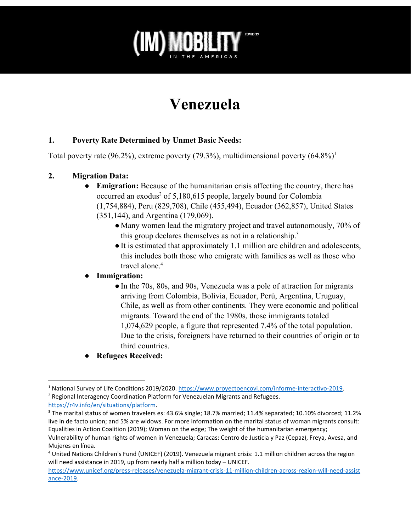

# **Venezuela**

# **1. Poverty Rate Determined by Unmet Basic Needs:**

Total poverty rate (96.2%), extreme poverty (79.3%), multidimensional poverty  $(64.8\%)^1$ 

### **2. Migration Data:**

- **Emigration:** Because of the humanitarian crisis affecting the country, there has occurred an exodus<sup>2</sup> of 5,180,615 people, largely bound for Colombia (1,754,884), Peru (829,708), Chile (455,494), Ecuador (362,857), United States (351,144), and Argentina (179,069).
	- Many women lead the migratory project and travel autonomously, 70% of this group declares themselves as not in a relationship.<sup>3</sup>
	- ●It is estimated that approximately 1.1 million are children and adolescents, this includes both those who emigrate with families as well as those who travel alone.<sup>4</sup>

# **● Immigration:**

- In the 70s, 80s, and 90s, Venezuela was a pole of attraction for migrants arriving from Colombia, Bolivia, Ecuador, Perú, Argentina, Uruguay, Chile, as well as from other continents. They were economic and political migrants. Toward the end of the 1980s, those immigrants totaled 1,074,629 people, a figure that represented 7.4% of the total population. Due to the crisis, foreigners have returned to their countries of origin or to third countries.
- **● Refugees Received:**

<sup>2</sup> Regional Interagency Coordination Platform for Venezuelan Migrants and Refugees. [https://r4v.info/en/situations/platform.](https://r4v.info/en/situations/platform)

<sup>3</sup> The marital status of women travelers es: 43.6% single; 18.7% married; 11.4% separated; 10.10% divorced; 11.2% live in de facto union; and 5% are widows. For more information on the marital status of woman migrants consult: Equalities in Action Coalition (2019); Woman on the edge; The weight of the humanitarian emergency;

<sup>1</sup> National Survey of Life Conditions 2019/2020. [https://www.proyectoencovi.com/informe-interactivo-2019.](https://www.proyectoencovi.com/informe-interactivo-2019)

Vulnerability of human rights of women in Venezuela; Caracas: Centro de Justicia y Paz (Cepaz), Freya, Avesa, and Mujeres en línea.

<sup>4</sup> United Nations Children's Fund (UNICEF) (2019). Venezuela migrant crisis: 1.1 million children across the region will need assistance in 2019, up from nearly half a million today – UNICEF.

[https://www.unicef.org/press-releases/venezuela-migrant-crisis-11-million-children-across-region-will-need-assist](https://www.unicef.org/press-releases/venezuela-migrant-crisis-11-million-children-across-region-will-need-assistance-2019) [ance-2019.](https://www.unicef.org/press-releases/venezuela-migrant-crisis-11-million-children-across-region-will-need-assistance-2019)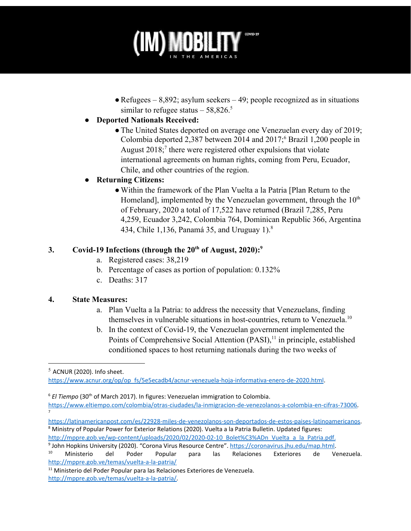

 $\bullet$  Refugees – 8,892; asylum seekers – 49; people recognized as in situations similar to refugee status  $-58,826$ .<sup>5</sup>

# **● Deported Nationals Received:**

• The United States deported on average one Venezuelan every day of 2019; Colombia deported 2,387 between 2014 and 2017;<sup>6</sup> Brazil 1,200 people in August  $2018$ ;<sup>7</sup> there were registered other expulsions that violate international agreements on human rights, coming from Peru, Ecuador, Chile, and other countries of the region.

# **● Returning Citizens:**

●Within the framework of the Plan Vuelta a la Patria [Plan Return to the Homeland], implemented by the Venezuelan government, through the  $10<sup>th</sup>$ of February, 2020 a total of 17,522 have returned (Brazil 7,285, Peru 4,259, Ecuador 3,242, Colombia 764, Dominican Republic 366, Argentina 434, Chile 1,136, Panamá 35, and Uruguay 1).<sup>8</sup>

# **3. Covid-19 Infections (through the 20th of August, 2020):<sup>9</sup>**

- a. Registered cases: 38,219
- b. Percentage of cases as portion of population: 0.132%
- c. Deaths: 317

#### **4. State Measures:**

- a. Plan Vuelta a la Patria: to address the necessity that Venezuelans, finding themselves in vulnerable situations in host-countries, return to Venezuela.<sup>10</sup>
- b. In the context of Covid-19, the Venezuelan government implemented the Points of Comprehensive Social Attention (PASI),<sup>11</sup> in principle, established conditioned spaces to host returning nationals during the two weeks of

<sup>6</sup> El Tiempo (30<sup>th</sup> of March 2017). In figures: Venezuelan immigration to Colombia.

[https://latinamericanpost.com/es/22928-miles-de-venezolanos-son-deportados-de-estos-paises-latinoamericanos.](https://latinamericanpost.com/es/22928-miles-de-venezolanos-son-deportados-de-estos-paises-latinoamericanos) <sup>8</sup> Ministry of Popular Power for Exterior Relations (2020). Vuelta a la Patria Bulletin. Updated figures: [http://mppre.gob.ve/wp-content/uploads/2020/02/2020-02-10\\_Bolet%C3%ADn\\_Vuelta\\_a\\_la\\_Patria.pdf](http://mppre.gob.ve/wp-content/uploads/2020/02/2020-02-10_Bolet%C3%ADn_Vuelta_a_la_Patria.pdf).

 $<sup>5</sup>$  ACNUR (2020). Info sheet.</sup>

[https://www.acnur.org/op/op\\_fs/5e5ecadb4/acnur-venezuela-hoja-informativa-enero-de-2020.html](https://www.acnur.org/op/op_fs/5e5ecadb4/acnur-venezuela-hoja-informativa-enero-de-2020.html).

<https://www.eltiempo.com/colombia/otras-ciudades/la-inmigracion-de-venezolanos-a-colombia-en-cifras-73006>. 7

<sup>&</sup>lt;sup>9</sup> John Hopkins University (2020). "Corona Virus Resource Centre". <u>https://coronavirus.jhu.edu/map.html</u>.

<sup>&</sup>lt;sup>10</sup> Ministerio del Poder Popular para las Relaciones Exteriores de Venezuela. <http://mppre.gob.ve/temas/vuelta-a-la-patria/>

<sup>&</sup>lt;sup>11</sup> Ministerio del Poder Popular para las Relaciones Exteriores de Venezuela. <http://mppre.gob.ve/temas/vuelta-a-la-patria/>.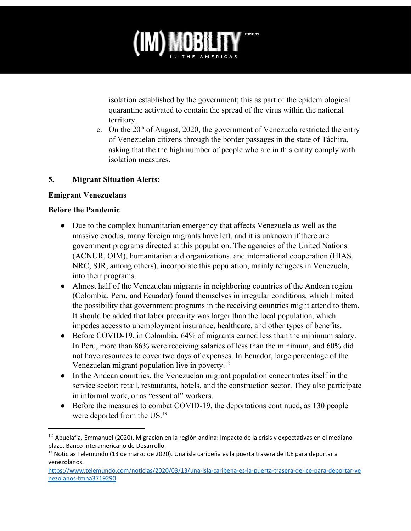

isolation established by the government; this as part of the epidemiological quarantine activated to contain the spread of the virus within the national territory.

c. On the  $20<sup>th</sup>$  of August, 2020, the government of Venezuela restricted the entry of Venezuelan citizens through the border passages in the state of Táchira, asking that the the high number of people who are in this entity comply with isolation measures.

#### **5. Migrant Situation Alerts:**

#### **Emigrant Venezuelans**

#### **Before the Pandemic**

- Due to the complex humanitarian emergency that affects Venezuela as well as the massive exodus, many foreign migrants have left, and it is unknown if there are government programs directed at this population. The agencies of the United Nations (ACNUR, OIM), humanitarian aid organizations, and international cooperation (HIAS, NRC, SJR, among others), incorporate this population, mainly refugees in Venezuela, into their programs.
- Almost half of the Venezuelan migrants in neighboring countries of the Andean region (Colombia, Peru, and Ecuador) found themselves in irregular conditions, which limited the possibility that government programs in the receiving countries might attend to them. It should be added that labor precarity was larger than the local population, which impedes access to unemployment insurance, healthcare, and other types of benefits.
- Before COVID-19, in Colombia, 64% of migrants earned less than the minimum salary. In Peru, more than 86% were receiving salaries of less than the minimum, and 60% did not have resources to cover two days of expenses. In Ecuador, large percentage of the Venezuelan migrant population live in poverty.<sup>12</sup>
- In the Andean countries, the Venezuelan migrant population concentrates itself in the service sector: retail, restaurants, hotels, and the construction sector. They also participate in informal work, or as "essential" workers.
- Before the measures to combat COVID-19, the deportations continued, as 130 people were deported from the US.<sup>13</sup>

 $12$  Abuelafia, Emmanuel (2020). Migración en la región andina: Impacto de la crisis y expectativas en el mediano plazo. Banco Interamericano de Desarrollo.

<sup>&</sup>lt;sup>13</sup> Noticias Telemundo (13 de marzo de 2020). Una isla caribeña es la puerta trasera de ICE para deportar a venezolanos.

[https://www.telemundo.com/noticias/2020/03/13/una-isla-caribena-es-la-puerta-trasera-de-ice-para-deportar-ve](https://www.telemundo.com/noticias/2020/03/13/una-isla-caribena-es-la-puerta-trasera-de-ice-para-deportar-venezolanos-tmna3719290) [nezolanos-tmna3719290](https://www.telemundo.com/noticias/2020/03/13/una-isla-caribena-es-la-puerta-trasera-de-ice-para-deportar-venezolanos-tmna3719290)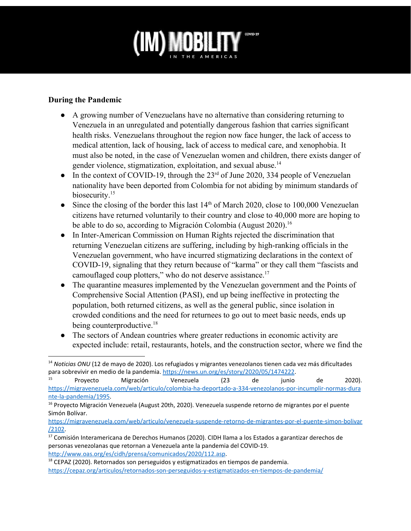

#### **During the Pandemic**

- A growing number of Venezuelans have no alternative than considering returning to Venezuela in an unregulated and potentially dangerous fashion that carries significant health risks. Venezuelans throughout the region now face hunger, the lack of access to medical attention, lack of housing, lack of access to medical care, and xenophobia. It must also be noted, in the case of Venezuelan women and children, there exists danger of gender violence, stigmatization, exploitation, and sexual abuse.<sup>14</sup>
- $\bullet$  In the context of COVID-19, through the 23<sup>rd</sup> of June 2020, 334 people of Venezuelan nationality have been deported from Colombia for not abiding by minimum standards of biosecurity.<sup>15</sup>
- Since the closing of the border this last  $14<sup>th</sup>$  of March 2020, close to 100,000 Venezuelan citizens have returned voluntarily to their country and close to 40,000 more are hoping to be able to do so, according to Migración Colombia (August 2020).<sup>16</sup>
- In Inter-American Commission on Human Rights rejected the discrimination that returning Venezuelan citizens are suffering, including by high-ranking officials in the Venezuelan government, who have incurred stigmatizing declarations in the context of COVID-19, signaling that they return because of "karma" or they call them "fascists and camouflaged coup plotters," who do not deserve assistance.<sup>17</sup>
- The quarantine measures implemented by the Venezuelan government and the Points of Comprehensive Social Attention (PASI), end up being ineffective in protecting the population, both returned citizens, as well as the general public, since isolation in crowded conditions and the need for returnees to go out to meet basic needs, ends up being counterproductive.<sup>18</sup>
- The sectors of Andean countries where greater reductions in economic activity are expected include: retail, restaurants, hotels, and the construction sector, where we find the

<sup>15</sup> Proyecto Migración Venezuela (23 de junio de 2020). [https://migravenezuela.com/web/articulo/colombia-ha-deportado-a-334-venezolanos-por-incumplir-normas-dura](https://migravenezuela.com/web/articulo/colombia-ha-deportado-a-334-venezolanos-por-incumplir-normas-durante-la-pandemia/1995) [nte-la-pandemia/1995.](https://migravenezuela.com/web/articulo/colombia-ha-deportado-a-334-venezolanos-por-incumplir-normas-durante-la-pandemia/1995)

<sup>18</sup> CEPAZ (2020). Retornados son perseguidos y estigmatizados en tiempos de pandemia. <https://cepaz.org/articulos/retornados-son-perseguidos-y-estigmatizados-en-tiempos-de-pandemia/>

<sup>14</sup> *Noticias ONU* (12 de mayo de 2020). Los refugiados y migrantes venezolanos tienen cada vez más dificultades para sobrevivir en medio de la pandemia. [https://news.un.org/es/story/2020/05/1474222.](https://news.un.org/es/story/2020/05/1474222)<br><sup>15</sup> Provecto Microsión Microsoft (22 de junio

<sup>&</sup>lt;sup>16</sup> Proyecto Migración Venezuela (August 20th, 2020). Venezuela suspende retorno de migrantes por el puente Simón Bolívar.

[https://migravenezuela.com/web/articulo/venezuela-suspende-retorno-de-migrantes-por-el-puente-simon-bolivar](https://migravenezuela.com/web/articulo/venezuela-suspende-retorno-de-migrantes-por-el-puente-simon-bolivar/2102) [/2102](https://migravenezuela.com/web/articulo/venezuela-suspende-retorno-de-migrantes-por-el-puente-simon-bolivar/2102).

<sup>&</sup>lt;sup>17</sup> Comisión Interamericana de Derechos Humanos (2020). CIDH llama a los Estados a garantizar derechos de personas venezolanas que retornan a Venezuela ante la pandemia del COVID-19. [http://www.oas.org/es/cidh/prensa/comunicados/2020/112.asp.](http://www.oas.org/es/cidh/prensa/comunicados/2020/112.asp)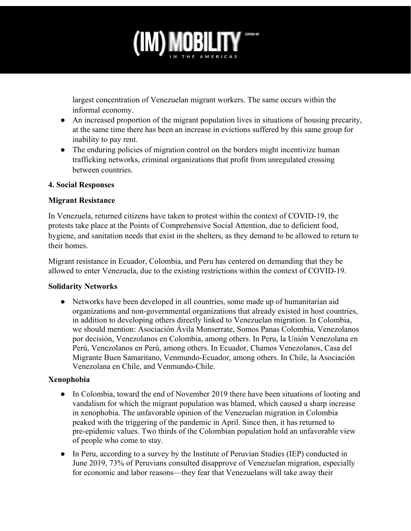

largest concentration of Venezuelan migrant workers. The same occurs within the informal economy.

- An increased proportion of the migrant population lives in situations of housing precarity, at the same time there has been an increase in evictions suffered by this same group for inability to pay rent.
- The enduring policies of migration control on the borders might incentivize human trafficking networks, criminal organizations that profit from unregulated crossing between countries.

#### **4. Social Responses**

#### **Migrant Resistance**

In Venezuela, returned citizens have taken to protest within the context of COVID-19, the protests take place at the Points of Comprehensive Social Attention, due to deficient food, hygiene, and sanitation needs that exist in the shelters, as they demand to be allowed to return to their homes.

Migrant resistance in Ecuador, Colombia, and Peru has centered on demanding that they be allowed to enter Venezuela, due to the existing restrictions within the context of COVID-19.

#### **Solidarity Networks**

● Networks have been developed in all countries, some made up of humanitarian aid organizations and non-governmental organizations that already existed in host countries, in addition to developing others directly linked to Venezuelan migration. In Colombia, we should mention: Asociación Ávila Monserrate, Somos Panas Colombia, Venezolanos por decisión, Venezolanos en Colombia, among others. In Peru, la Unión Venezolana en Perú, Venezolanos en Perú, among others. In Ecuador, Chamos Venezolanos, Casa del Migrante Buen Samaritano, Venmundo-Ecuador, among others. In Chile, la Asociación Venezolana en Chile, and Venmundo-Chile.

# **Xenophobia**

- In Colombia, toward the end of November 2019 there have been situations of looting and vandalism for which the migrant population was blamed, which caused a sharp increase in xenophobia. The unfavorable opinion of the Venezuelan migration in Colombia peaked with the triggering of the pandemic in April. Since then, it has returned to pre-epidemic values. Two thirds of the Colombian population hold an unfavorable view of people who come to stay.
- In Peru, according to a survey by the Institute of Peruvian Studies (IEP) conducted in June 2019, 73% of Peruvians consulted disapprove of Venezuelan migration, especially for economic and labor reasons—they fear that Venezuelans will take away their